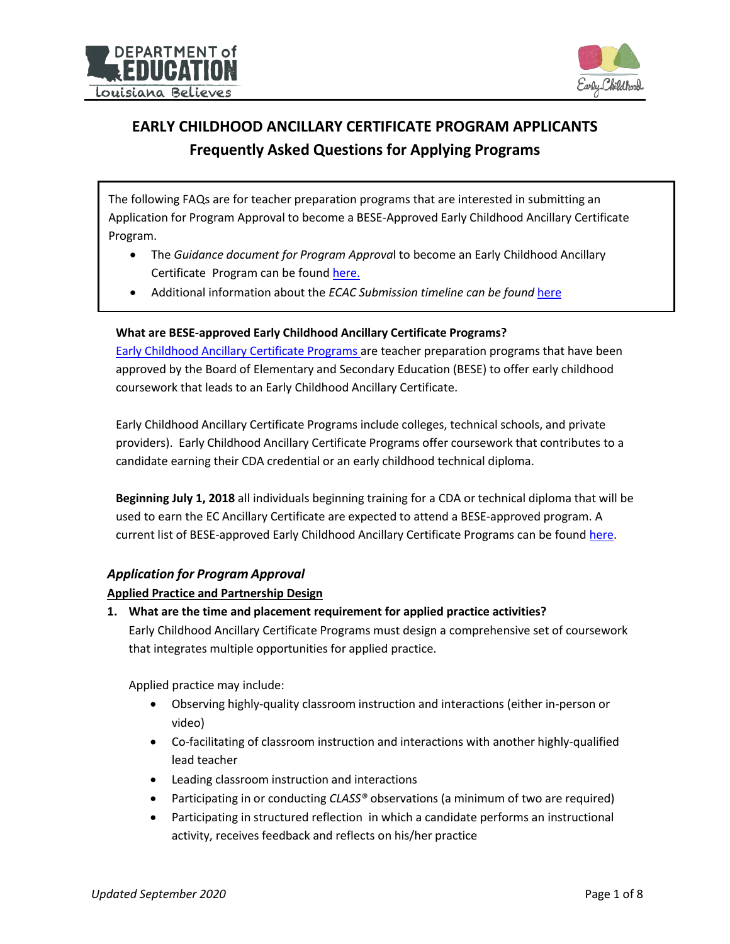



# **EARLY CHILDHOOD ANCILLARY CERTIFICATE PROGRAM APPLICANTS Frequently Asked Questions for Applying Programs**

The following FAQs are for teacher preparation programs that are interested in submitting an Application for Program Approval to become a BESE-Approved Early Childhood Ancillary Certificate Program.

- The *Guidance document for Program Approva*l to become an Early Childhood Ancillary Certificate Program can be found [here.](https://www.louisianabelieves.com/docs/default-source/early-childhood/ecac-application-program-guidance-document.pdf?sfvrsn=c3a89a1f_6)
- Additional information about the *ECAC Submission timeline can be found* [here](https://www.louisianabelieves.com/docs/default-source/early-childhood/ecac-program-application-submission-timeline.pdf?sfvrsn=dca89a1f_4)

#### **What are BESE-approved Early Childhood Ancillary Certificate Programs?**

Early [Childhood Ancillary](http://www.louisianabelieves.com/docs/default-source/early-childhood/early-childhood-ancillary-certificate-programs-(bese-approved).pdf?sfvrsn=2) Certificate Programs are teacher preparation programs that have been approved by the Board of Elementary and Secondary Education (BESE) to offer early childhood coursework that leads to an Early Childhood Ancillary Certificate.

Early Childhood Ancillary Certificate Programs include colleges, technical schools, and private providers). Early Childhood Ancillary Certificate Programs offer coursework that contributes to a candidate earning their CDA credential or an early childhood technical diploma.

**Beginning July 1, 2018** all individuals beginning training for a CDA or technical diploma that will be used to earn the EC Ancillary Certificate are expected to attend a BESE-approved program. A current list of BESE-approved Early Childhood Ancillary Certificate Programs can be found [here.](http://www.louisianabelieves.com/docs/default-source/early-childhood/early-childhood-ancillary-certificate-programs-(bese-approved).pdf?sfvrsn=2)

## *Application for Program Approval*

#### **Applied Practice and Partnership Design**

**1. What are the time and placement requirement for applied practice activities?** Early Childhood Ancillary Certificate Programs must design a comprehensive set of coursework that integrates multiple opportunities for applied practice.

Applied practice may include:

- Observing highly-quality classroom instruction and interactions (either in-person or video)
- Co-facilitating of classroom instruction and interactions with another highly-qualified lead teacher
- Leading classroom instruction and interactions
- Participating in or conducting *CLASS®* observations (a minimum of two are required)
- Participating in structured reflection in which a candidate performs an instructional activity, receives feedback and reflects on his/her practice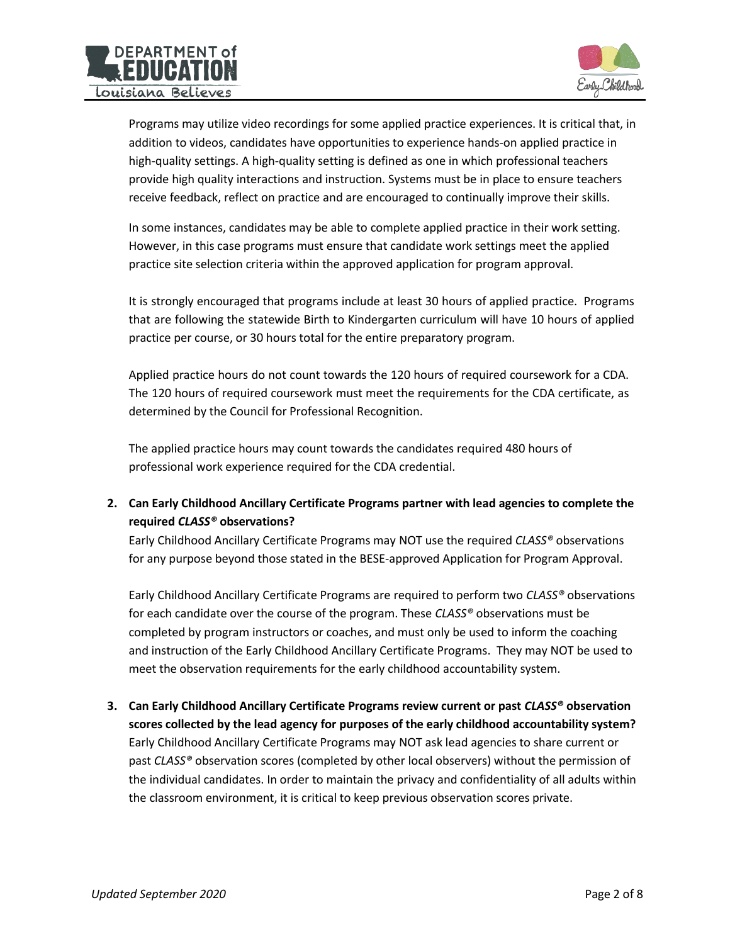



Programs may utilize video recordings for some applied practice experiences. It is critical that, in addition to videos, candidates have opportunities to experience hands-on applied practice in high-quality settings. A high-quality setting is defined as one in which professional teachers provide high quality interactions and instruction. Systems must be in place to ensure teachers receive feedback, reflect on practice and are encouraged to continually improve their skills.

In some instances, candidates may be able to complete applied practice in their work setting. However, in this case programs must ensure that candidate work settings meet the applied practice site selection criteria within the approved application for program approval.

It is strongly encouraged that programs include at least 30 hours of applied practice. Programs that are following the statewide Birth to Kindergarten curriculum will have 10 hours of applied practice per course, or 30 hours total for the entire preparatory program.

Applied practice hours do not count towards the 120 hours of required coursework for a CDA. The 120 hours of required coursework must meet the requirements for the CDA certificate, as determined by the Council for Professional Recognition.

The applied practice hours may count towards the candidates required 480 hours of professional work experience required for the CDA credential.

**2. Can Early Childhood Ancillary Certificate Programs partner with lead agencies to complete the required** *CLASS®* **observations?**

Early Childhood Ancillary Certificate Programs may NOT use the required *CLASS®* observations for any purpose beyond those stated in the BESE-approved Application for Program Approval.

Early Childhood Ancillary Certificate Programs are required to perform two *CLASS®* observations for each candidate over the course of the program. These *CLASS®* observations must be completed by program instructors or coaches, and must only be used to inform the coaching and instruction of the Early Childhood Ancillary Certificate Programs. They may NOT be used to meet the observation requirements for the early childhood accountability system.

**3. Can Early Childhood Ancillary Certificate Programs review current or past** *CLASS®* **observation scores collected by the lead agency for purposes of the early childhood accountability system?** Early Childhood Ancillary Certificate Programs may NOT ask lead agencies to share current or past *CLASS®* observation scores (completed by other local observers) without the permission of the individual candidates. In order to maintain the privacy and confidentiality of all adults within the classroom environment, it is critical to keep previous observation scores private.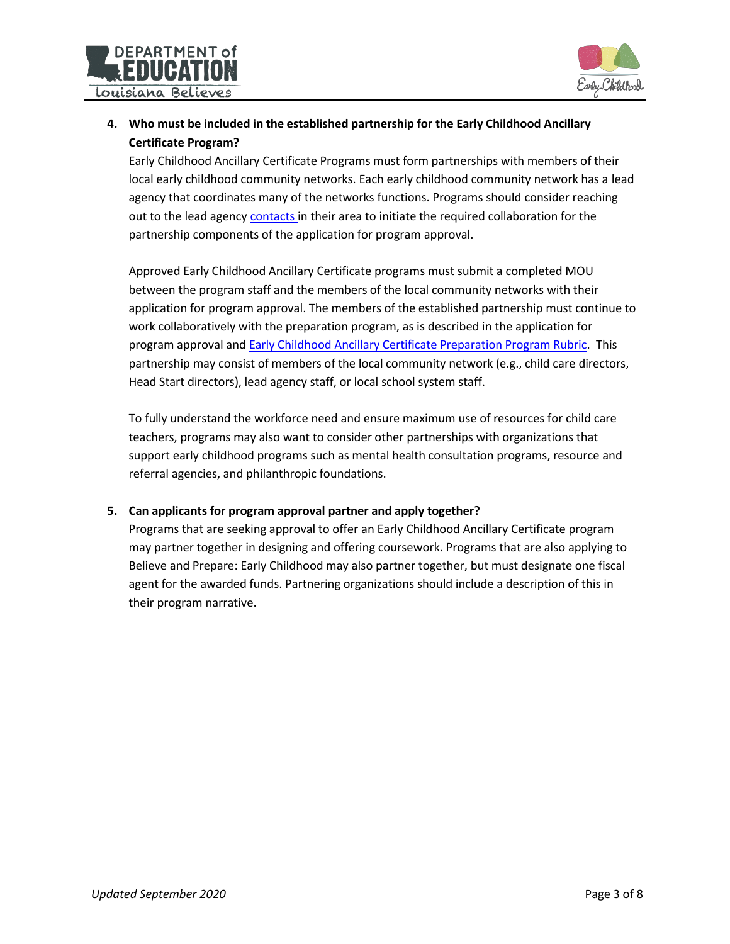



# **4. Who must be included in the established partnership for the Early Childhood Ancillary Certificate Program?**

Early Childhood Ancillary Certificate Programs must form partnerships with members of their local early childhood community networks. Each early childhood community network has a lead agency that coordinates many of the networks functions. Programs should consider reaching out to the lead agency [contacts](http://www.louisianabelieves.com/docs/default-source/early-childhood/early-childhood-community-network-lead-agency-list.pdf?sfvrsn=2) in their area to initiate the required collaboration for the partnership components of the application for program approval.

Approved Early Childhood Ancillary Certificate programs must submit a completed MOU between the program staff and the members of the local community networks with their application for program approval. The members of the established partnership must continue to work collaboratively with the preparation program, as is described in the application for program approval and Early [Childhood Ancillary](http://www.louisianabelieves.com/docs/default-source/early-childhood/appendices-for-program-approval--early-childhood-ancillary-certificate-program.pdf?sfvrsn=2) Certificate Preparation Program Rubric. This partnership may consist of members of the local community network (e.g., child care directors, Head Start directors), lead agency staff, or local school system staff.

To fully understand the workforce need and ensure maximum use of resources for child care teachers, programs may also want to consider other partnerships with organizations that support early childhood programs such as mental health consultation programs, resource and referral agencies, and philanthropic foundations.

## **5. Can applicants for program approval partner and apply together?**

Programs that are seeking approval to offer an Early Childhood Ancillary Certificate program may partner together in designing and offering coursework. Programs that are also applying to Believe and Prepare: Early Childhood may also partner together, but must designate one fiscal agent for the awarded funds. Partnering organizations should include a description of this in their program narrative.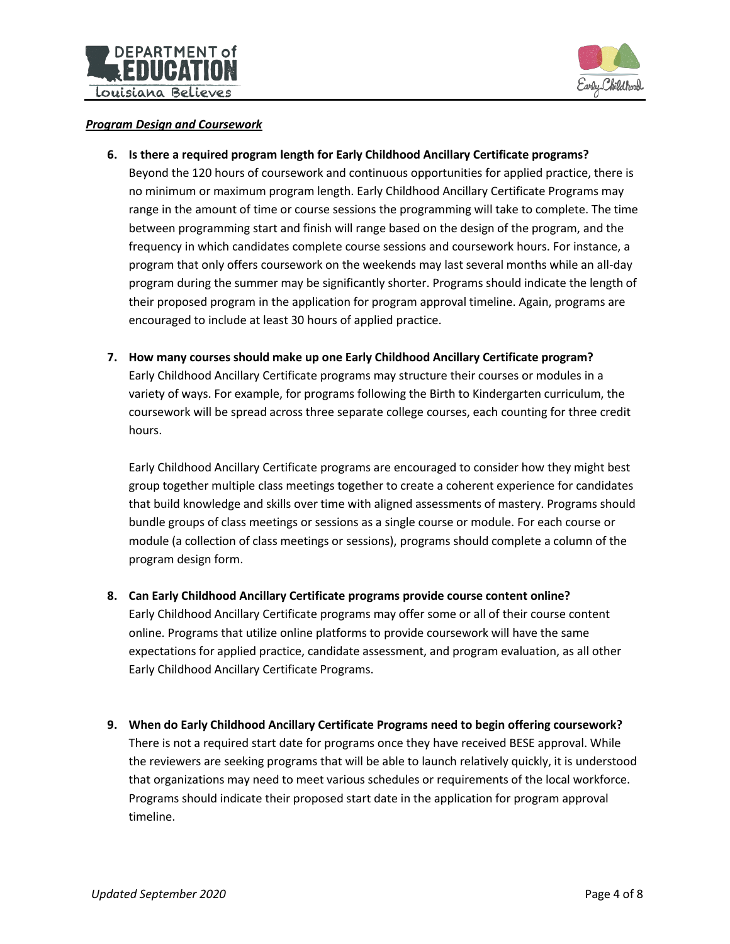



#### *Program Design and Coursework*

**6. Is there a required program length for Early Childhood Ancillary Certificate programs?**

Beyond the 120 hours of coursework and continuous opportunities for applied practice, there is no minimum or maximum program length. Early Childhood Ancillary Certificate Programs may range in the amount of time or course sessions the programming will take to complete. The time between programming start and finish will range based on the design of the program, and the frequency in which candidates complete course sessions and coursework hours. For instance, a program that only offers coursework on the weekends may last several months while an all-day program during the summer may be significantly shorter. Programs should indicate the length of their proposed program in the application for program approval timeline. Again, programs are encouraged to include at least 30 hours of applied practice.

**7. How many courses should make up one Early Childhood Ancillary Certificate program?** Early Childhood Ancillary Certificate programs may structure their courses or modules in a variety of ways. For example, for programs following the Birth to Kindergarten curriculum, the coursework will be spread across three separate college courses, each counting for three credit hours.

Early Childhood Ancillary Certificate programs are encouraged to consider how they might best group together multiple class meetings together to create a coherent experience for candidates that build knowledge and skills over time with aligned assessments of mastery. Programs should bundle groups of class meetings or sessions as a single course or module. For each course or module (a collection of class meetings or sessions), programs should complete a column of the program design form.

**8. Can Early Childhood Ancillary Certificate programs provide course content online?**

Early Childhood Ancillary Certificate programs may offer some or all of their course content online. Programs that utilize online platforms to provide coursework will have the same expectations for applied practice, candidate assessment, and program evaluation, as all other Early Childhood Ancillary Certificate Programs.

**9. When do Early Childhood Ancillary Certificate Programs need to begin offering coursework?** There is not a required start date for programs once they have received BESE approval. While the reviewers are seeking programs that will be able to launch relatively quickly, it is understood that organizations may need to meet various schedules or requirements of the local workforce. Programs should indicate their proposed start date in the application for program approval timeline.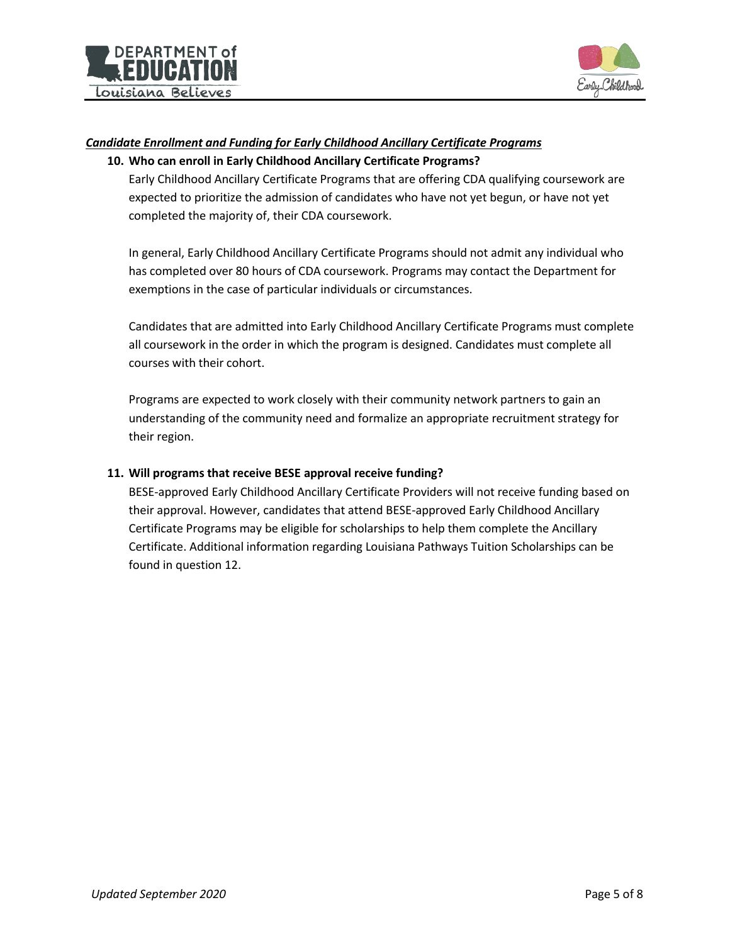



#### *Candidate Enrollment and Funding for Early Childhood Ancillary Certificate Programs*

#### **10. Who can enroll in Early Childhood Ancillary Certificate Programs?**

Early Childhood Ancillary Certificate Programs that are offering CDA qualifying coursework are expected to prioritize the admission of candidates who have not yet begun, or have not yet completed the majority of, their CDA coursework.

In general, Early Childhood Ancillary Certificate Programs should not admit any individual who has completed over 80 hours of CDA coursework. Programs may contact the Department for exemptions in the case of particular individuals or circumstances.

Candidates that are admitted into Early Childhood Ancillary Certificate Programs must complete all coursework in the order in which the program is designed. Candidates must complete all courses with their cohort.

Programs are expected to work closely with their community network partners to gain an understanding of the community need and formalize an appropriate recruitment strategy for their region.

#### **11. Will programs that receive BESE approval receive funding?**

BESE-approved Early Childhood Ancillary Certificate Providers will not receive funding based on their approval. However, candidates that attend BESE-approved Early Childhood Ancillary Certificate Programs may be eligible for scholarships to help them complete the Ancillary Certificate. Additional information regarding Louisiana Pathways Tuition Scholarships can be found in question 12.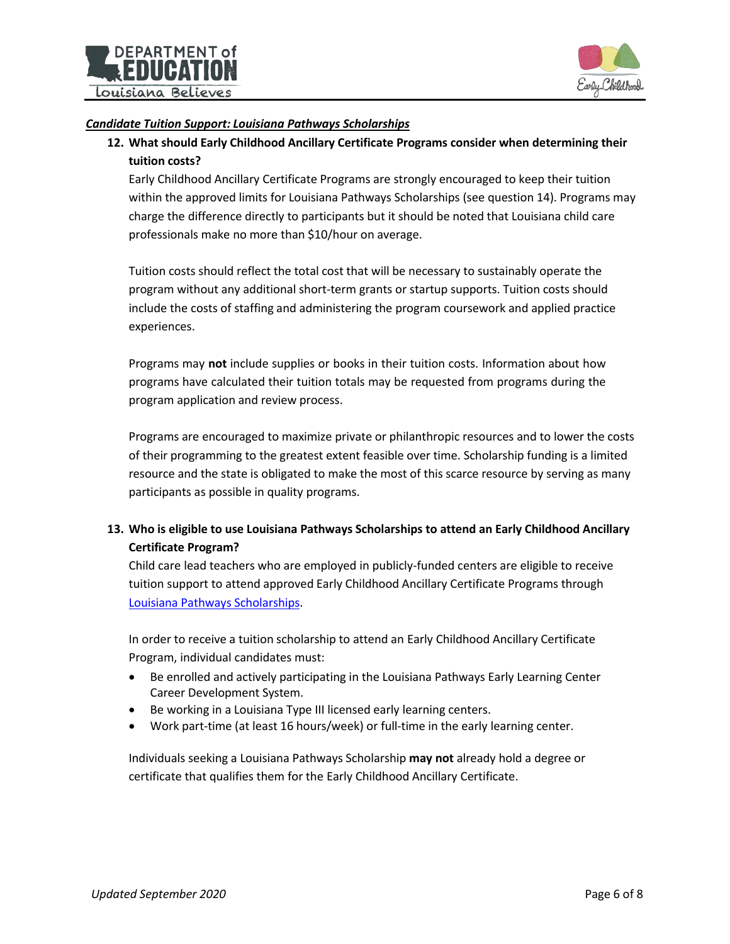



#### *Candidate Tuition Support: Louisiana Pathways Scholarships*

**12. What should Early Childhood Ancillary Certificate Programs consider when determining their tuition costs?**

Early Childhood Ancillary Certificate Programs are strongly encouraged to keep their tuition within the approved limits for Louisiana Pathways Scholarships (see question 14). Programs may charge the difference directly to participants but it should be noted that Louisiana child care professionals make no more than \$10/hour on average.

Tuition costs should reflect the total cost that will be necessary to sustainably operate the program without any additional short-term grants or startup supports. Tuition costs should include the costs of staffing and administering the program coursework and applied practice experiences.

Programs may **not** include supplies or books in their tuition costs. Information about how programs have calculated their tuition totals may be requested from programs during the program application and review process.

Programs are encouraged to maximize private or philanthropic resources and to lower the costs of their programming to the greatest extent feasible over time. Scholarship funding is a limited resource and the state is obligated to make the most of this scarce resource by serving as many participants as possible in quality programs.

# **13. Who is eligible to use Louisiana Pathways Scholarships to attend an Early Childhood Ancillary Certificate Program?**

Child care lead teachers who are employed in publicly-funded centers are eligible to receive tuition support to attend approved Early Childhood Ancillary Certificate Programs through Louisiana Pathways [Scholarships.](https://pathways.nsula.edu/home-louisiana-pathways-child-care-career-development-system)

In order to receive a tuition scholarship to attend an Early Childhood Ancillary Certificate Program, individual candidates must:

- Be enrolled and actively participating in the Louisiana Pathways Early Learning Center Career Development System.
- Be working in a Louisiana Type III licensed early learning centers.
- Work part-time (at least 16 hours/week) or full-time in the early learning center.

Individuals seeking a Louisiana Pathways Scholarship **may not** already hold a degree or certificate that qualifies them for the Early Childhood Ancillary Certificate.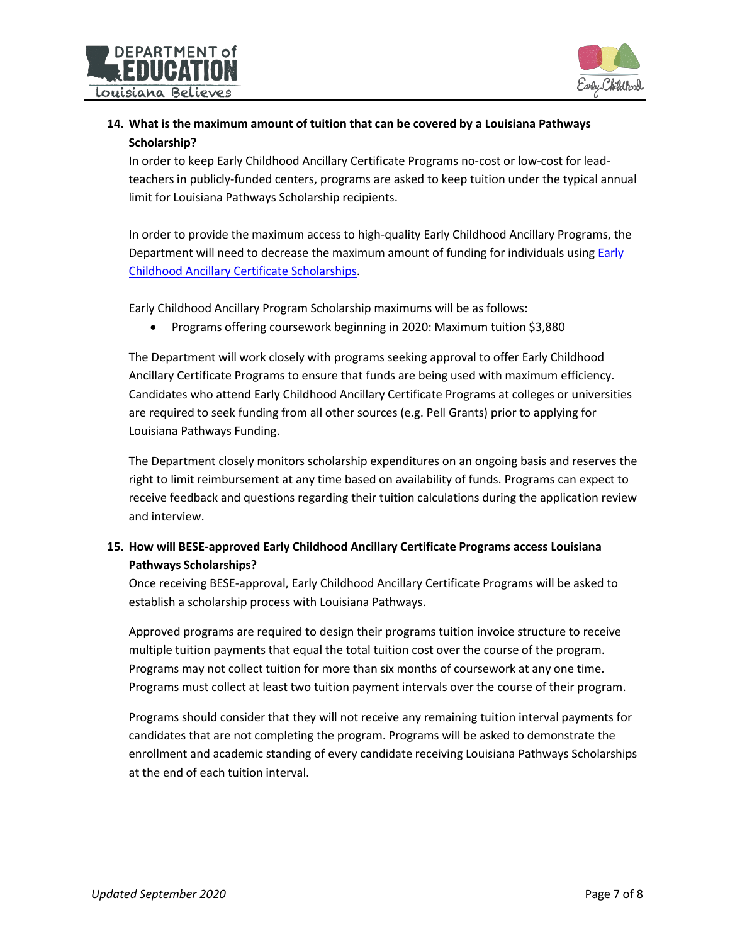



# **14. What is the maximum amount of tuition that can be covered by a Louisiana Pathways Scholarship?**

In order to keep Early Childhood Ancillary Certificate Programs no-cost or low-cost for leadteachers in publicly-funded centers, programs are asked to keep tuition under the typical annual limit for Louisiana Pathways Scholarship recipients.

In order to provide the maximum access to high-quality Early Childhood Ancillary Programs, the Department will need to decrease the maximum amount of funding for individuals usin[g Early](http://pathways.nsula.edu/early-childhood-ancillary-certificate-program-scholarship/) [Childhood Ancillary](http://pathways.nsula.edu/early-childhood-ancillary-certificate-program-scholarship/) Certificate Scholarships.

Early Childhood Ancillary Program Scholarship maximums will be as follows:

Programs offering coursework beginning in 2020: Maximum tuition \$3,880

The Department will work closely with programs seeking approval to offer Early Childhood Ancillary Certificate Programs to ensure that funds are being used with maximum efficiency. Candidates who attend Early Childhood Ancillary Certificate Programs at colleges or universities are required to seek funding from all other sources (e.g. Pell Grants) prior to applying for Louisiana Pathways Funding.

The Department closely monitors scholarship expenditures on an ongoing basis and reserves the right to limit reimbursement at any time based on availability of funds. Programs can expect to receive feedback and questions regarding their tuition calculations during the application review and interview.

# **15. How will BESE-approved Early Childhood Ancillary Certificate Programs access Louisiana Pathways Scholarships?**

Once receiving BESE-approval, Early Childhood Ancillary Certificate Programs will be asked to establish a scholarship process with Louisiana Pathways.

Approved programs are required to design their programs tuition invoice structure to receive multiple tuition payments that equal the total tuition cost over the course of the program. Programs may not collect tuition for more than six months of coursework at any one time. Programs must collect at least two tuition payment intervals over the course of their program.

Programs should consider that they will not receive any remaining tuition interval payments for candidates that are not completing the program. Programs will be asked to demonstrate the enrollment and academic standing of every candidate receiving Louisiana Pathways Scholarships at the end of each tuition interval.